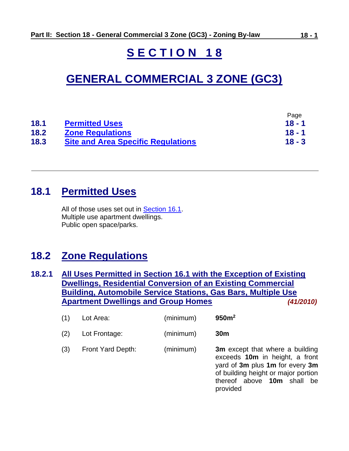# **S E C T I O N 1 8**

# **GENERAL COMMERCIAL 3 ZONE (GC3)**

|      |                                           | Page     |
|------|-------------------------------------------|----------|
| 18.1 | <b>Permitted Uses</b>                     | 18 - 1   |
| 18.2 | <b>Zone Regulations</b>                   | 18 - 1   |
| 18.3 | <b>Site and Area Specific Regulations</b> | $18 - 3$ |

# <span id="page-0-0"></span>**18.1 Permitted Uses**

All of those uses set out in [Section 16.1.](ZB_Sec_16_General_Commercial_1_Zone(GC1).doc#GC1_16_1_Permitted_Uses) Multiple use apartment dwellings. Public open space/parks.

# <span id="page-0-1"></span>**18.2 Zone Regulations**

**18.2.1 All Uses Permitted in Section 16.1 with the Exception of Existing Dwellings, Residential Conversion of an Existing Commercial Building, Automobile Service Stations, Gas Bars, Multiple Use Apartment Dwellings and Group Homes** *(41/2010)*

| (1) | Lot Area:         | (minimum) | 950m <sup>2</sup>                                                                                                                                                                     |
|-----|-------------------|-----------|---------------------------------------------------------------------------------------------------------------------------------------------------------------------------------------|
| (2) | Lot Frontage:     | (minimum) | 30 <sub>m</sub>                                                                                                                                                                       |
| (3) | Front Yard Depth: | (minimum) | 3m except that where a building<br>exceeds 10m in height, a front<br>yard of 3m plus 1m for every 3m<br>of building height or major portion<br>thereof above 10m shall be<br>provided |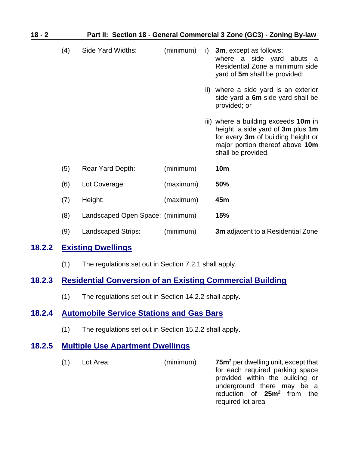| $18 - 2$ | Part II: Section 18 - General Commercial 3 Zone (GC3) - Zoning By-law |                                  |           |    |                                                                                                                                                                          |
|----------|-----------------------------------------------------------------------|----------------------------------|-----------|----|--------------------------------------------------------------------------------------------------------------------------------------------------------------------------|
|          | (4)                                                                   | Side Yard Widths:                | (minimum) | i) | 3m, except as follows:<br>where a side yard abuts a<br>Residential Zone a minimum side<br>yard of 5m shall be provided;                                                  |
|          |                                                                       |                                  |           |    | ii) where a side yard is an exterior<br>side yard a 6m side yard shall be<br>provided; or                                                                                |
|          |                                                                       |                                  |           |    | iii) where a building exceeds 10m in<br>height, a side yard of 3m plus 1m<br>for every 3m of building height or<br>major portion thereof above 10m<br>shall be provided. |
|          | (5)                                                                   | Rear Yard Depth:                 | (minimum) |    | <b>10m</b>                                                                                                                                                               |
|          | (6)                                                                   | Lot Coverage:                    | (maximum) |    | 50%                                                                                                                                                                      |
|          | (7)                                                                   | Height:                          | (maximum) |    | 45m                                                                                                                                                                      |
|          | (8)                                                                   | Landscaped Open Space: (minimum) |           |    | 15%                                                                                                                                                                      |
|          | (9)                                                                   | Landscaped Strips:               | (minimum) |    | <b>3m</b> adjacent to a Residential Zone                                                                                                                                 |
| 18.2.2   |                                                                       | <b>Existing Dwellings</b>        |           |    |                                                                                                                                                                          |

(1) The regulations set out in Section 7.2.1 shall apply.

## **18.2.3 Residential Conversion of an Existing Commercial Building**

(1) The regulations set out in Section 14.2.2 shall apply.

### **18.2.4 Automobile Service Stations and Gas Bars**

(1) The regulations set out in Section 15.2.2 shall apply.

## <span id="page-1-0"></span>**18.2.5 Multiple Use Apartment Dwellings**

(1) Lot Area: (minimum) **75m<sup>2</sup>** per dwelling unit, except that for each required parking space provided within the building or underground there may be a reduction of **25m<sup>2</sup>** from the required lot area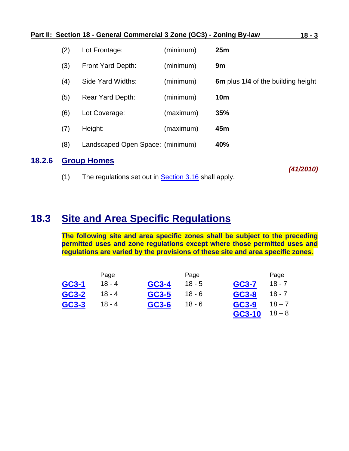|        |     | Part II: Section 18 - General Commercial 3 Zone (GC3) - Zoning By-law |           | $18 - 3$                           |
|--------|-----|-----------------------------------------------------------------------|-----------|------------------------------------|
|        | (2) | Lot Frontage:                                                         | (minimum) | 25m                                |
|        | (3) | Front Yard Depth:                                                     | (minimum) | 9m                                 |
|        | (4) | Side Yard Widths:                                                     | (minimum) | 6m plus 1/4 of the building height |
|        | (5) | <b>Rear Yard Depth:</b>                                               | (minimum) | <b>10m</b>                         |
|        | (6) | Lot Coverage:                                                         | (maximum) | 35%                                |
|        | (7) | Height:                                                               | (maximum) | 45m                                |
|        | (8) | Landscaped Open Space: (minimum)                                      |           | 40%                                |
| 18.2.6 |     | <b>Group Homes</b>                                                    |           |                                    |
|        |     |                                                                       |           | 111000101                          |

(1) The regulations set out in **Section 3.16** shall apply.

*(41/2010)*

# <span id="page-2-0"></span>**18.3 Site and Area Specific Regulations**

**The following site and area specific zones shall be subject to the preceding permitted uses and zone regulations except where those permitted uses and regulations are varied by the provisions of these site and area specific zones**.

|       | Page     |       | Page     |        | Page     |
|-------|----------|-------|----------|--------|----------|
| GC3-1 | $18 - 4$ | GC3-4 | $18 - 5$ | GC3-7  | $18 - 7$ |
| GC3-2 | 18 - 4   | GC3-5 | 18 - 6   | GC3-8  | $18 - 7$ |
| GC3-3 | $18 - 4$ | GC3-6 | $18 - 6$ | GC3-9  | $18 - 7$ |
|       |          |       |          | GC3-10 | $18 - 8$ |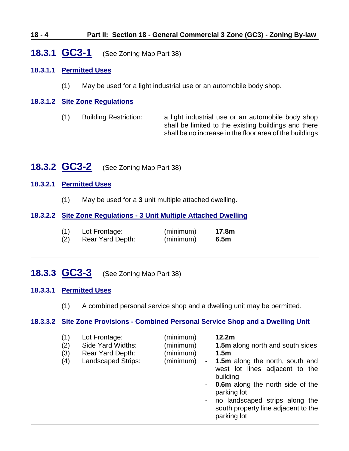#### **18 - 4 Part II: Section 18 - General Commercial 3 Zone (GC3) - Zoning By-law**

## <span id="page-3-0"></span>**18.3.1 GC3-1** (See Zoning Map Part 38)

#### **18.3.1.1 Permitted Uses**

(1) May be used for a light industrial use or an automobile body shop.

#### **18.3.1.2 Site Zone Regulations**

(1) Building Restriction: a light industrial use or an automobile body shop shall be limited to the existing buildings and there shall be no increase in the floor area of the buildings

### <span id="page-3-1"></span>**18.3.2 GC3-2** (See Zoning Map Part 38)

#### **18.3.2.1 Permitted Uses**

(1) May be used for a **3** unit multiple attached dwelling.

#### **18.3.2.2 Site Zone Regulations - 3 Unit Multiple Attached Dwelling**

| (1) | Lot Frontage:    | (minimum) | 17.8m |
|-----|------------------|-----------|-------|
| (2) | Rear Yard Depth: | (minimum) | 6.5m  |

## <span id="page-3-2"></span>**18.3.3 GC3-3** (See Zoning Map Part 38)

#### **18.3.3.1 Permitted Uses**

(1) A combined personal service shop and a dwelling unit may be permitted.

#### **18.3.3.2 Site Zone Provisions - Combined Personal Service Shop and a Dwelling Unit**

| (1)                       | 12.2m                                     |
|---------------------------|-------------------------------------------|
| (minimum)                 | 1.5m along north and south sides          |
| Lot Frontage:             | 1.5 <sub>m</sub>                          |
| Side Yard Widths:         | - 1.5m along the north, south and         |
| (minimum)                 | west lot lines adjacent to the            |
| (2)                       | building                                  |
| (3)                       | - <b>0.6m</b> along the north side of the |
| (minimum)                 | parking lot                               |
| Rear Yard Depth:          | no landscaped strips along the            |
| (4)                       | $\sim$ 10 $\pm$                           |
| <b>Landscaped Strips:</b> | south property line adjacent to the       |
| (minimum)                 | parking lot                               |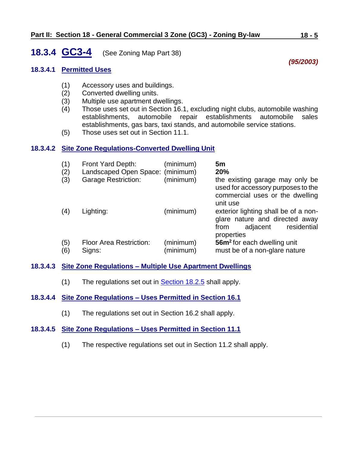## <span id="page-4-0"></span>**18.3.4 GC3-4** (See Zoning Map Part 38)

#### **18.3.4.1 Permitted Uses**

- (1) Accessory uses and buildings.
- (2) Converted dwelling units.
- (3) Multiple use apartment dwellings.
- (4) Those uses set out in Section 16.1, excluding night clubs, automobile washing establishments, automobile repair establishments automobile sales establishments, gas bars, taxi stands, and automobile service stations.
- (5) Those uses set out in Section 11.1.

#### **18.3.4.2 Site Zone Regulations-Converted Dwelling Unit**

| (1)<br>(2)<br>(3) | Front Yard Depth:<br>Landscaped Open Space: (minimum)<br><b>Garage Restriction:</b> | (minimum)<br>(minimum) | 5m<br>20%<br>the existing garage may only be<br>used for accessory purposes to the<br>commercial uses or the dwelling<br>unit use |
|-------------------|-------------------------------------------------------------------------------------|------------------------|-----------------------------------------------------------------------------------------------------------------------------------|
| (4)               | Lighting:                                                                           | (minimum)              | exterior lighting shall be of a non-<br>glare nature and directed away<br>residential<br>adjacent<br>from<br>properties           |
| (5)<br>(6)        | <b>Floor Area Restriction:</b><br>Signs:                                            | (minimum)<br>(minimum) | 56m <sup>2</sup> for each dwelling unit<br>must be of a non-glare nature                                                          |

#### **18.3.4.3 Site Zone Regulations – Multiple Use Apartment Dwellings**

(1) The regulations set out in **Section 18.2.5** shall apply.

#### **18.3.4.4 Site Zone Regulations – Uses Permitted in Section 16.1**

(1) The regulations set out in Section 16.2 shall apply.

#### **18.3.4.5 Site Zone Regulations – Uses Permitted in Section 11.1**

(1) The respective regulations set out in Section 11.2 shall apply.

*(95/2003)*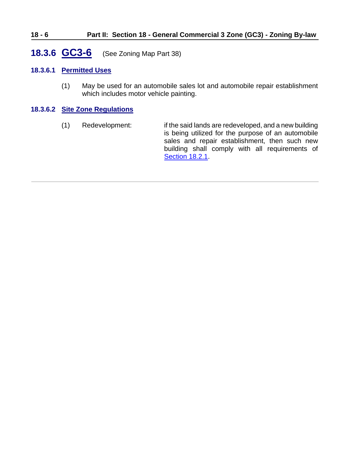#### **18 - 6 Part II: Section 18 - General Commercial 3 Zone (GC3) - Zoning By-law**

### <span id="page-5-0"></span>**18.3.6 GC3-6** (See Zoning Map Part 38)

#### **18.3.6.1 Permitted Uses**

(1) May be used for an automobile sales lot and automobile repair establishment which includes motor vehicle painting.

#### **18.3.6.2 Site Zone Regulations**

(1) Redevelopment: if the said lands are redeveloped, and a new building is being utilized for the purpose of an automobile sales and repair establishment, then such new building shall comply with all requirements of [Section 18.2.1.](#page-0-1)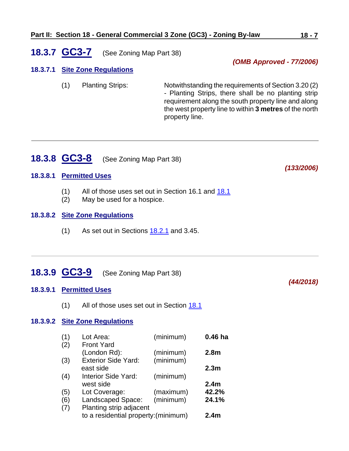## <span id="page-6-0"></span>**18.3.7 GC3-7** (See Zoning Map Part 38)

#### **18.3.7.1 Site Zone Regulations**

(1) Planting Strips: Notwithstanding the requirements of Section 3.20 (2) - Planting Strips, there shall be no planting strip requirement along the south property line and along the west property line to within **3 metres** of the north property line.

### <span id="page-6-1"></span>**18.3.8 GC3-8** (See Zoning Map Part 38)

#### **18.3.8.1 Permitted Uses**

- (1) All of those uses set out in Section 16.1 and [18.1](#page-0-0)
- (2) May be used for a hospice.

#### **18.3.8.2 Site Zone Regulations**

 $(1)$  As set out in Sections  $18.2.1$  and 3.45.

# <span id="page-6-2"></span>**18.3.9 GC3-9** (See Zoning Map Part 38)

### **18.3.9.1 Permitted Uses**

(1) All of those uses set out in Section [18.1](#page-0-0)

#### **18.3.9.2 Site Zone Regulations**

| (1) | Lot Area:                            | (minimum) | $0.46$ ha        |
|-----|--------------------------------------|-----------|------------------|
| (2) | <b>Front Yard</b>                    |           |                  |
|     | (London Rd):                         | (minimum) | 2.8 <sub>m</sub> |
| (3) | <b>Exterior Side Yard:</b>           | (minimum) |                  |
|     | east side                            |           | 2.3 <sub>m</sub> |
| (4) | <b>Interior Side Yard:</b>           | (minimum) |                  |
|     | west side                            |           | 2.4 <sub>m</sub> |
| (5) | Lot Coverage:                        | (maximum) | 42.2%            |
| (6) | Landscaped Space:                    | (minimum) | 24.1%            |
| (7) | Planting strip adjacent              |           |                  |
|     | to a residential property: (minimum) |           | 2.4 <sub>m</sub> |
|     |                                      |           |                  |

*(OMB Approved - 77/2006)*

*(44/2018)*

*(133/2006)*